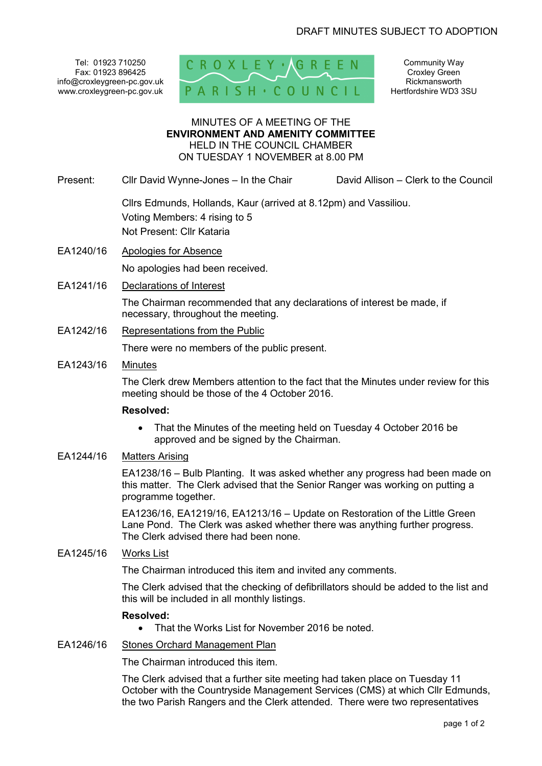Tel: 01923 710250 Fax: 01923 896425 info@croxleygreen-pc.gov.uk www.croxleygreen-pc.gov.uk



Community Way Croxley Green Rickmansworth Hertfordshire WD3 3SU

## MINUTES OF A MEETING OF THE **ENVIRONMENT AND AMENITY COMMITTEE** HELD IN THE COUNCIL CHAMBER ON TUESDAY 1 NOVEMBER at 8.00 PM

Present: Cllr David Wynne-Jones – In the Chair David Allison – Clerk to the Council

 Cllrs Edmunds, Hollands, Kaur (arrived at 8.12pm) and Vassiliou. Voting Members: 4 rising to 5 Not Present: Cllr Kataria

EA1240/16 Apologies for Absence

No apologies had been received.

EA1241/16 Declarations of Interest

The Chairman recommended that any declarations of interest be made, if necessary, throughout the meeting.

EA1242/16 Representations from the Public

There were no members of the public present.

EA1243/16 Minutes

The Clerk drew Members attention to the fact that the Minutes under review for this meeting should be those of the 4 October 2016.

## **Resolved:**

- That the Minutes of the meeting held on Tuesday 4 October 2016 be approved and be signed by the Chairman.
- EA1244/16 Matters Arising

EA1238/16 – Bulb Planting. It was asked whether any progress had been made on this matter. The Clerk advised that the Senior Ranger was working on putting a programme together.

EA1236/16, EA1219/16, EA1213/16 – Update on Restoration of the Little Green Lane Pond. The Clerk was asked whether there was anything further progress. The Clerk advised there had been none.

# EA1245/16 Works List

The Chairman introduced this item and invited any comments.

The Clerk advised that the checking of defibrillators should be added to the list and this will be included in all monthly listings.

#### **Resolved:**

- That the Works List for November 2016 be noted.
- EA1246/16 Stones Orchard Management Plan

The Chairman introduced this item.

The Clerk advised that a further site meeting had taken place on Tuesday 11 October with the Countryside Management Services (CMS) at which Cllr Edmunds, the two Parish Rangers and the Clerk attended. There were two representatives